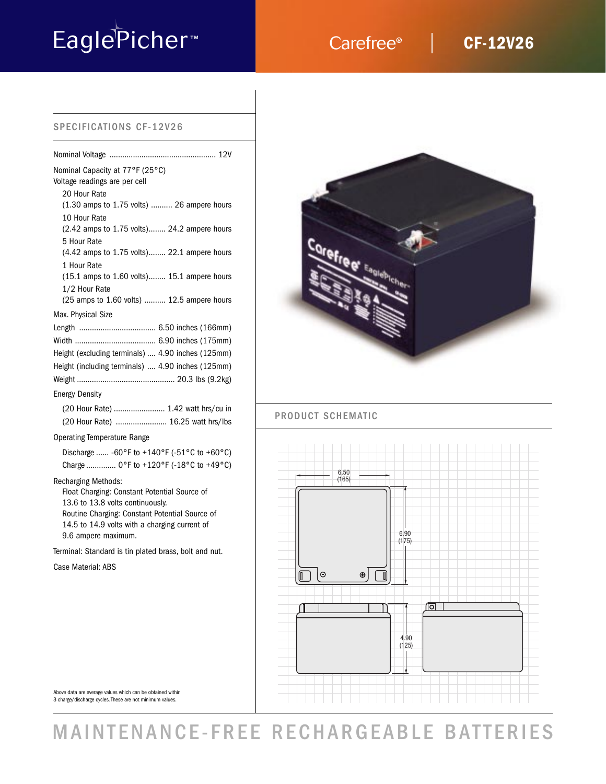# EaglePicher<sup>M</sup> Carefree®

## **CF-12V26**

## SPECIFICATIONS CF-12V26

| Nominal Capacity at 77°F (25°C)<br>Voltage readings are per cell |
|------------------------------------------------------------------|
| 20 Hour Rate                                                     |
| (1.30 amps to 1.75 volts)  26 ampere hours                       |
| 10 Hour Rate                                                     |
| (2.42 amps to 1.75 volts) 24.2 ampere hours                      |
| 5 Hour Rate                                                      |
| (4.42 amps to 1.75 volts) 22.1 ampere hours                      |
| 1 Hour Rate                                                      |
| $(15.1 \text{ amps to } 1.60 \text{ volts})$ 15.1 ampere hours   |
| 1/2 Hour Rate                                                    |
| (25 amps to 1.60 volts)  12.5 ampere hours                       |
| Max. Physical Size                                               |
|                                                                  |
|                                                                  |
| Height (excluding terminals)  4.90 inches (125mm)                |
| Height (including terminals)  4.90 inches (125mm)                |
|                                                                  |
| <b>Energy Density</b>                                            |
| (20 Hour Rate)  1.42 watt hrs/cu in                              |
| (20 Hour Rate)  16.25 watt hrs/lbs                               |
|                                                                  |

## Operating Temperature Range

| Discharge  -60°F to +140°F (-51°C to +60°C) |  |  |  |
|---------------------------------------------|--|--|--|
| Charge  0°F to +120°F (-18°C to +49°C)      |  |  |  |

## Recharging Methods:

Float Charging: Constant Potential Source of 13.6 to 13.8 volts continuously. Routine Charging: Constant Potential Source of 14.5 to 14.9 volts with a charging current of 9.6 ampere maximum.

Terminal: Standard is tin plated brass, bolt and nut.

Case Material: ABS



## PRODUCT SCHEMATIC



Above data are average values which can be obtained within 3 charge/discharge cycles. These are not minimum values.

## MAINTENANCE-FREE RECHARGEABLE BATTERIES